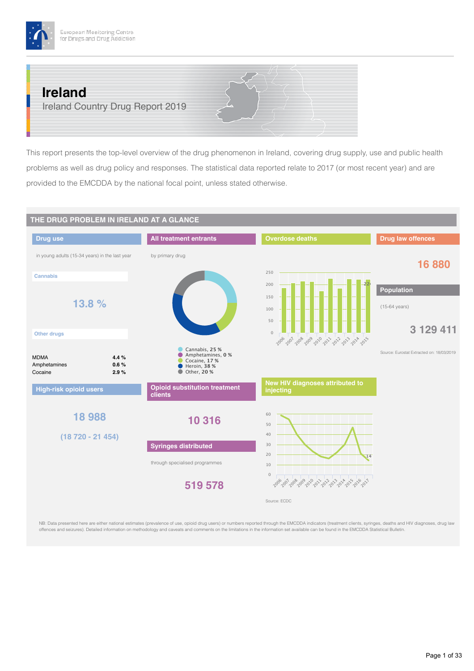

# **Ireland**

Ireland Country Drug Report 2019

This report presents the top-level overview of the drug phenomenon in Ireland, covering drug supply, use and public health problems as well as drug policy and responses. The statistical data reported relate to 2017 (or most recent year) and are provided to the EMCDDA by the national focal point, unless stated otherwise.



NB: Data presented here are either national estimates (prevalence of use, opioid drug users) or numbers reported through the EMCDDA indicators (treatment clients, syringes, deaths and HIV diagnoses, drug law offences and seizures). Detailed information on methodology and caveats and comments on the limitations in the information set available can be found in the EMCDDA Statistical Bulletin.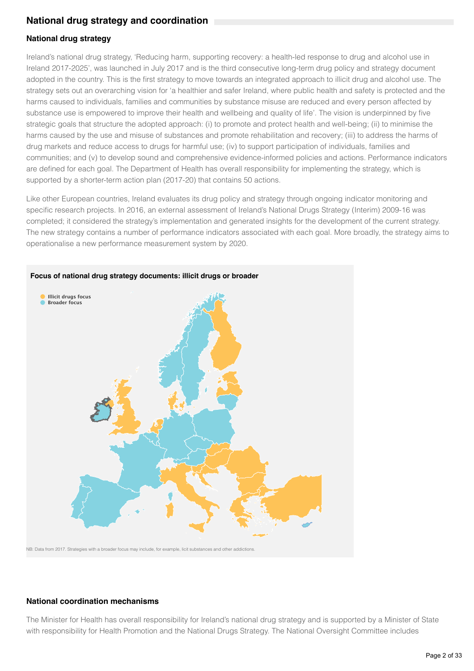## **National drug strategy and coordination**

## **National drug strategy**

Ireland's national drug strategy, 'Reducing harm, supporting recovery: a health-led response to drug and alcohol use in Ireland 2017-2025', was launched in July 2017 and is the third consecutive long-term drug policy and strategy document adopted in the country. This is the first strategy to move towards an integrated approach to illicit drug and alcohol use. The strategy sets out an overarching vision for 'a healthier and safer Ireland, where public health and safety is protected and the harms caused to individuals, families and communities by substance misuse are reduced and every person affected by substance use is empowered to improve their health and wellbeing and quality of life'. The vision is underpinned by five strategic goals that structure the adopted approach: (i) to promote and protect health and well-being; (ii) to minimise the harms caused by the use and misuse of substances and promote rehabilitation and recovery; (iii) to address the harms of drug markets and reduce access to drugs for harmful use; (iv) to support participation of individuals, families and communities; and (v) to develop sound and comprehensive evidence-informed policies and actions. Performance indicators are defined for each goal. The Department of Health has overall responsibility for implementing the strategy, which is supported by a shorter-term action plan (2017-20) that contains 50 actions.

Like other European countries, Ireland evaluates its drug policy and strategy through ongoing indicator monitoring and specific research projects. In 2016, an external assessment of Ireland's National Drugs Strategy (Interim) 2009-16 was completed; it considered the strategy's implementation and generated insights for the development of the current strategy. The new strategy contains a number of performance indicators associated with each goal. More broadly, the strategy aims to operationalise a new performance measurement system by 2020.



NB: Data from 2017. Strategies with a broader focus may include, for example, licit substances and other addictions.

### **National coordination mechanisms**

The Minister for Health has overall responsibility for Ireland's national drug strategy and is supported by a Minister of State with responsibility for Health Promotion and the National Drugs Strategy. The National Oversight Committee includes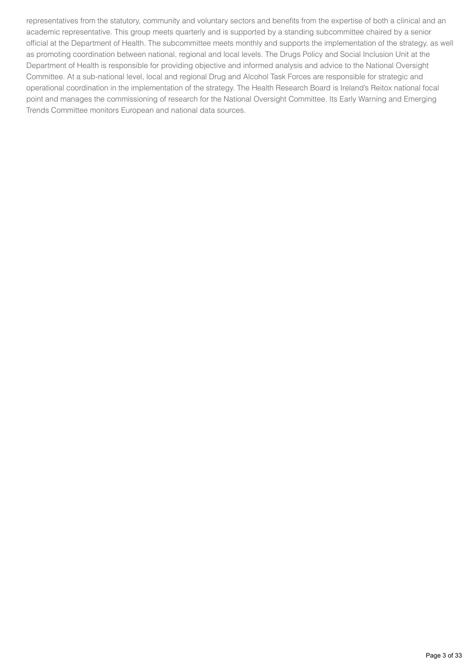representatives from the statutory, community and voluntary sectors and benefits from the expertise of both a clinical and an academic representative. This group meets quarterly and is supported by a standing subcommittee chaired by a senior official at the Department of Health. The subcommittee meets monthly and supports the implementation of the strategy, as well as promoting coordination between national, regional and local levels. The Drugs Policy and Social Inclusion Unit at the Department of Health is responsible for providing objective and informed analysis and advice to the National Oversight Committee. At a sub-national level, local and regional Drug and Alcohol Task Forces are responsible for strategic and operational coordination in the implementation of the strategy. The Health Research Board is Ireland's Reitox national focal point and manages the commissioning of research for the National Oversight Committee. Its Early Warning and Emerging Trends Committee monitors European and national data sources.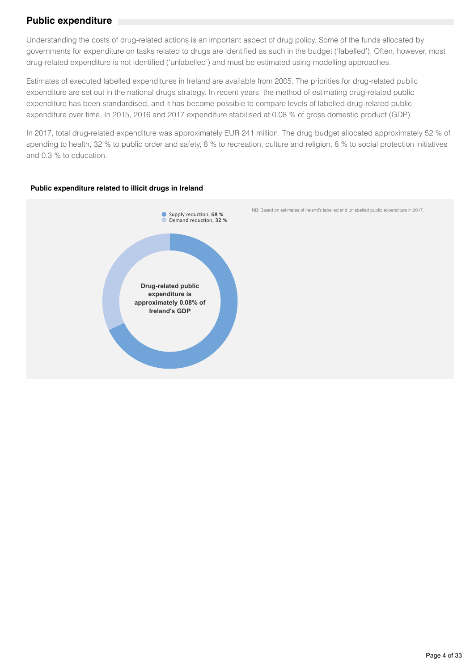## **Public expenditure**

Understanding the costs of drug-related actions is an important aspect of drug policy. Some of the funds allocated by governments for expenditure on tasks related to drugs are identified as such in the budget ('labelled'). Often, however, most drug-related expenditure is not identified ('unlabelled') and must be estimated using modelling approaches.

Estimates of executed labelled expenditures in Ireland are available from 2005. The priorities for drug-related public expenditure are set out in the national drugs strategy. In recent years, the method of estimating drug-related public expenditure has been standardised, and it has become possible to compare levels of labelled drug-related public expenditure over time. In 2015, 2016 and 2017 expenditure stabilised at 0.08 % of gross domestic product (GDP).

In 2017, total drug-related expenditure was approximately EUR 241 million. The drug budget allocated approximately 52 % of spending to health, 32 % to public order and safety, 8 % to recreation, culture and religion, 8 % to social protection initiatives and 0.3 % to education.

### **Public expenditure related to illicit drugs in Ireland**

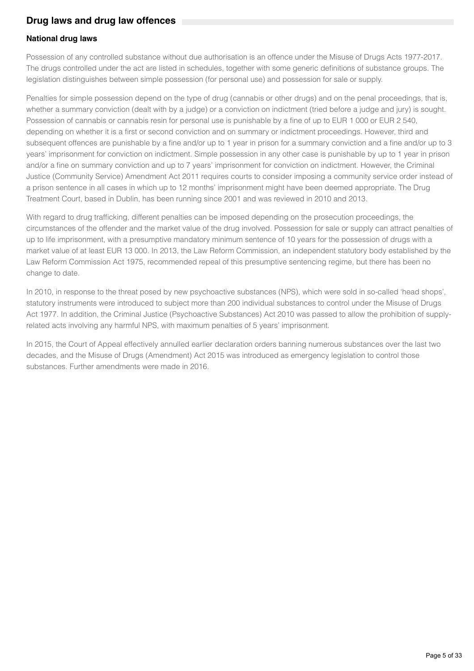## **Drug laws and drug law offences**

### **National drug laws**

Possession of any controlled substance without due authorisation is an offence under the Misuse of Drugs Acts 1977-2017. The drugs controlled under the act are listed in schedules, together with some generic definitions of substance groups. The legislation distinguishes between simple possession (for personal use) and possession for sale or supply.

Penalties for simple possession depend on the type of drug (cannabis or other drugs) and on the penal proceedings, that is, whether a summary conviction (dealt with by a judge) or a conviction on indictment (tried before a judge and jury) is sought. Possession of cannabis or cannabis resin for personal use is punishable by a fine of up to EUR 1 000 or EUR 2 540, depending on whether it is a first or second conviction and on summary or indictment proceedings. However, third and subsequent offences are punishable by a fine and/or up to 1 year in prison for a summary conviction and a fine and/or up to 3 years' imprisonment for conviction on indictment. Simple possession in any other case is punishable by up to 1 year in prison and/or a fine on summary conviction and up to 7 years' imprisonment for conviction on indictment. However, the Criminal Justice (Community Service) Amendment Act 2011 requires courts to consider imposing a community service order instead of a prison sentence in all cases in which up to 12 months' imprisonment might have been deemed appropriate. The Drug Treatment Court, based in Dublin, has been running since 2001 and was reviewed in 2010 and 2013.

With regard to drug trafficking, different penalties can be imposed depending on the prosecution proceedings, the circumstances of the offender and the market value of the drug involved. Possession for sale or supply can attract penalties of up to life imprisonment, with a presumptive mandatory minimum sentence of 10 years for the possession of drugs with a market value of at least EUR 13 000. In 2013, the Law Reform Commission, an independent statutory body established by the Law Reform Commission Act 1975, recommended repeal of this presumptive sentencing regime, but there has been no change to date.

In 2010, in response to the threat posed by new psychoactive substances (NPS), which were sold in so-called 'head shops', statutory instruments were introduced to subject more than 200 individual substances to control under the Misuse of Drugs Act 1977. In addition, the Criminal Justice (Psychoactive Substances) Act 2010 was passed to allow the prohibition of supplyrelated acts involving any harmful NPS, with maximum penalties of 5 years' imprisonment.

In 2015, the Court of Appeal effectively annulled earlier declaration orders banning numerous substances over the last two decades, and the Misuse of Drugs (Amendment) Act 2015 was introduced as emergency legislation to control those substances. Further amendments were made in 2016.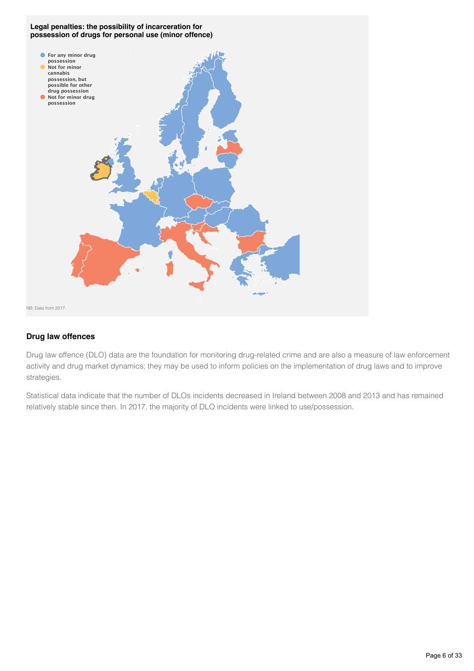

### **Drug law offences**

Drug law offence (DLO) data are the foundation for monitoring drug-related crime and are also a measure of law enforcement activity and drug market dynamics; they may be used to inform policies on the implementation of drug laws and to improve strategies.

Statistical data indicate that the number of DLOs incidents decreased in Ireland between 2008 and 2013 and has remained relatively stable since then. In 2017, the majority of DLO incidents were linked to use/possession.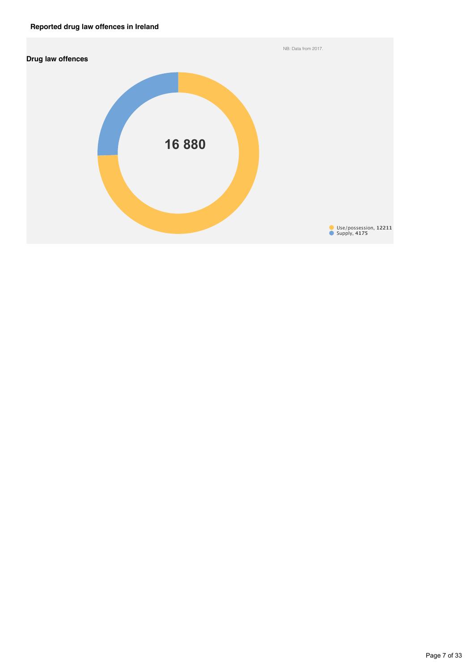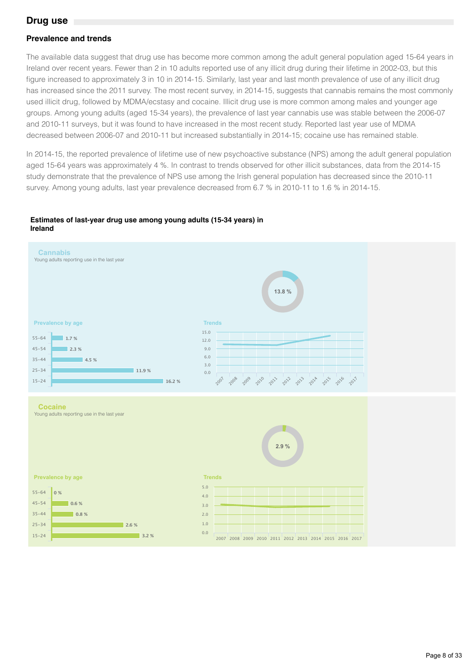## **Drug use**

### **Prevalence and trends**

The available data suggest that drug use has become more common among the adult general population aged 15-64 years in Ireland over recent years. Fewer than 2 in 10 adults reported use of any illicit drug during their lifetime in 2002-03, but this figure increased to approximately 3 in 10 in 2014-15. Similarly, last year and last month prevalence of use of any illicit drug has increased since the 2011 survey. The most recent survey, in 2014-15, suggests that cannabis remains the most commonly used illicit drug, followed by MDMA/ecstasy and cocaine. Illicit drug use is more common among males and younger age groups. Among young adults (aged 15-34 years), the prevalence of last year cannabis use was stable between the 2006-07 and 2010-11 surveys, but it was found to have increased in the most recent study. Reported last year use of MDMA decreased between 2006-07 and 2010-11 but increased substantially in 2014-15; cocaine use has remained stable.

In 2014-15, the reported prevalence of lifetime use of new psychoactive substance (NPS) among the adult general population aged 15-64 years was approximately 4 %. In contrast to trends observed for other illicit substances, data from the 2014-15 study demonstrate that the prevalence of NPS use among the Irish general population has decreased since the 2010-11 survey. Among young adults, last year prevalence decreased from 6.7 % in 2010-11 to 1.6 % in 2014-15.

#### **Estimates of last-year drug use among young adults (15-34 years) in Ireland**

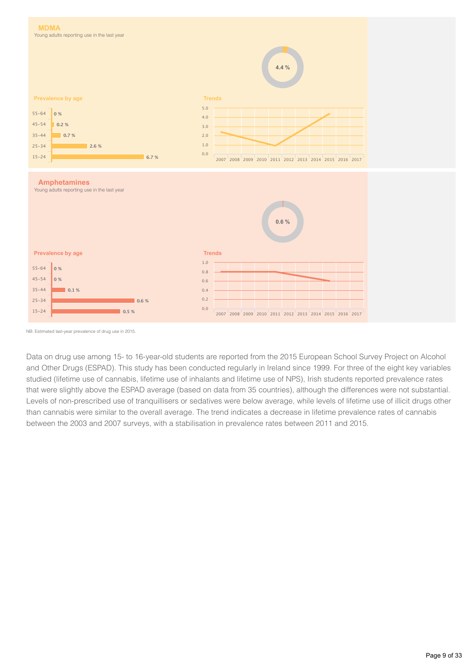

NB: Estimated last-year prevalence of drug use in 2015.

Data on drug use among 15- to 16-year-old students are reported from the 2015 European School Survey Project on Alcohol and Other Drugs (ESPAD). This study has been conducted regularly in Ireland since 1999. For three of the eight key variables studied (lifetime use of cannabis, lifetime use of inhalants and lifetime use of NPS), Irish students reported prevalence rates that were slightly above the ESPAD average (based on data from 35 countries), although the differences were not substantial. Levels of non-prescribed use of tranquillisers or sedatives were below average, while levels of lifetime use of illicit drugs other than cannabis were similar to the overall average. The trend indicates a decrease in lifetime prevalence rates of cannabis between the 2003 and 2007 surveys, with a stabilisation in prevalence rates between 2011 and 2015.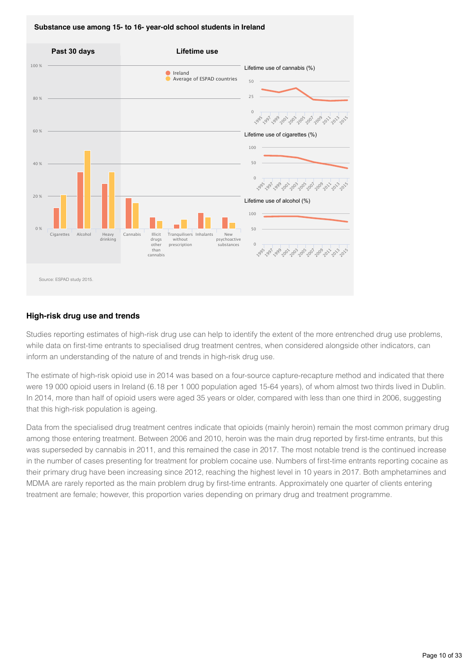



### **High-risk drug use and trends**

Studies reporting estimates of high-risk drug use can help to identify the extent of the more entrenched drug use problems, while data on first-time entrants to specialised drug treatment centres, when considered alongside other indicators, can inform an understanding of the nature of and trends in high-risk drug use.

The estimate of high-risk opioid use in 2014 was based on a four-source capture-recapture method and indicated that there were 19 000 opioid users in Ireland (6.18 per 1 000 population aged 15-64 years), of whom almost two thirds lived in Dublin. In 2014, more than half of opioid users were aged 35 years or older, compared with less than one third in 2006, suggesting that this high-risk population is ageing.

Data from the specialised drug treatment centres indicate that opioids (mainly heroin) remain the most common primary drug among those entering treatment. Between 2006 and 2010, heroin was the main drug reported by first-time entrants, but this was superseded by cannabis in 2011, and this remained the case in 2017. The most notable trend is the continued increase in the number of cases presenting for treatment for problem cocaine use. Numbers of first-time entrants reporting cocaine as their primary drug have been increasing since 2012, reaching the highest level in 10 years in 2017. Both amphetamines and MDMA are rarely reported as the main problem drug by first-time entrants. Approximately one quarter of clients entering treatment are female; however, this proportion varies depending on primary drug and treatment programme.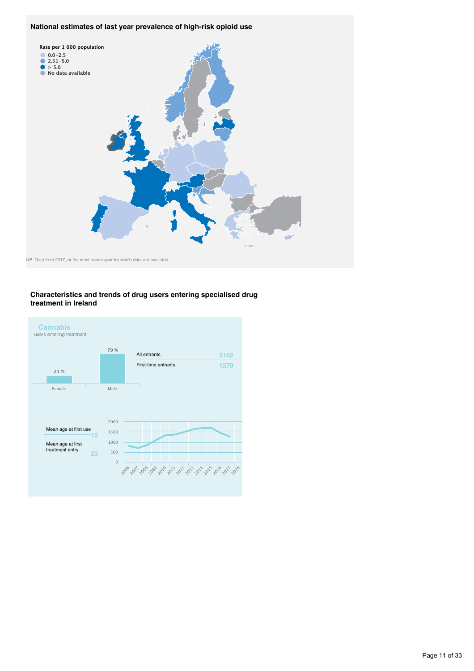#### **National estimates of last year prevalence of high-risk opioid use**



#### **Characteristics and trends of drug users entering specialised drug treatment in Ireland**

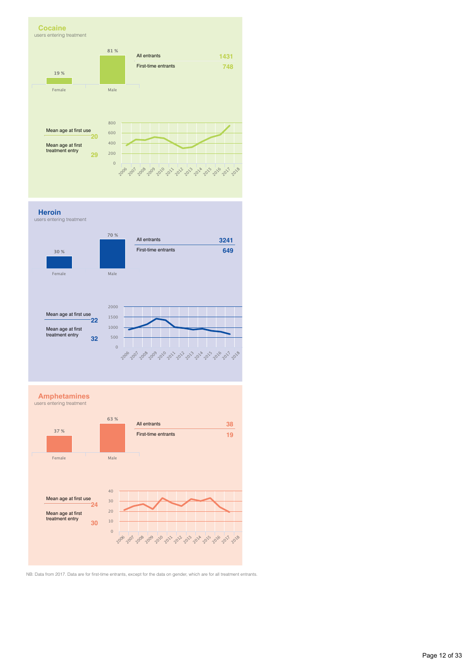

**Heroin**

users entering treatment



**Amphetamines**



NB: Data from 2017. Data are for first-time entrants, except for the data on gender, which are for all treatment entrants.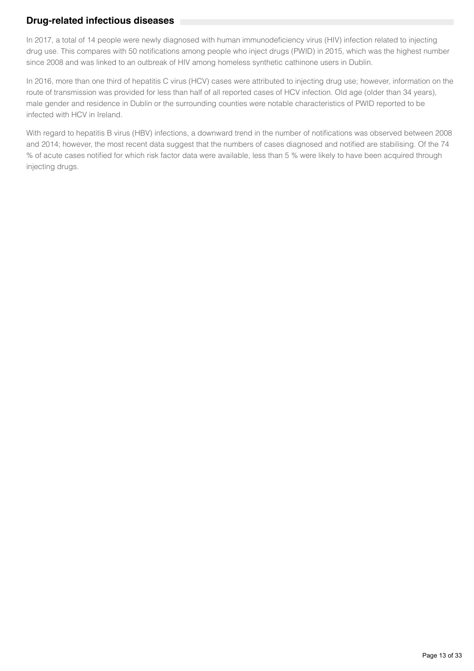## **Drug-related infectious diseases**

In 2017, a total of 14 people were newly diagnosed with human immunodeficiency virus (HIV) infection related to injecting drug use. This compares with 50 notifications among people who inject drugs (PWID) in 2015, which was the highest number since 2008 and was linked to an outbreak of HIV among homeless synthetic cathinone users in Dublin.

In 2016, more than one third of hepatitis C virus (HCV) cases were attributed to injecting drug use; however, information on the route of transmission was provided for less than half of all reported cases of HCV infection. Old age (older than 34 years), male gender and residence in Dublin or the surrounding counties were notable characteristics of PWID reported to be infected with HCV in Ireland.

With regard to hepatitis B virus (HBV) infections, a downward trend in the number of notifications was observed between 2008 and 2014; however, the most recent data suggest that the numbers of cases diagnosed and notified are stabilising. Of the 74 % of acute cases notified for which risk factor data were available, less than 5 % were likely to have been acquired through injecting drugs.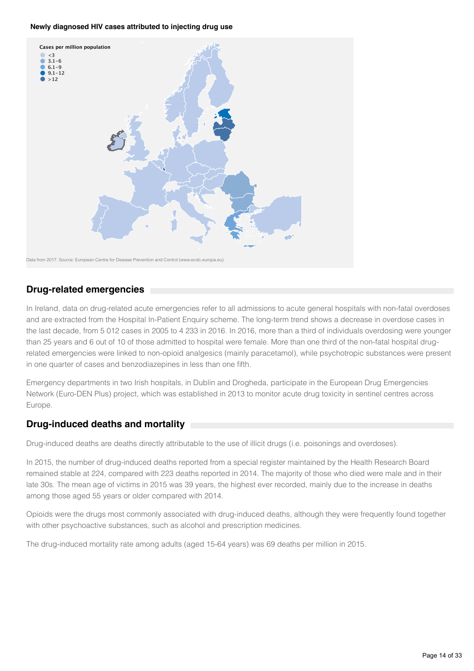#### **Newly diagnosed HIV cases attributed to injecting drug use**



## **Drug-related emergencies**

In Ireland, data on drug-related acute emergencies refer to all admissions to acute general hospitals with non-fatal overdoses and are extracted from the Hospital In-Patient Enquiry scheme. The long-term trend shows a decrease in overdose cases in the last decade, from 5 012 cases in 2005 to 4 233 in 2016. In 2016, more than a third of individuals overdosing were younger than 25 years and 6 out of 10 of those admitted to hospital were female. More than one third of the non-fatal hospital drugrelated emergencies were linked to non-opioid analgesics (mainly paracetamol), while psychotropic substances were present in one quarter of cases and benzodiazepines in less than one fifth.

Emergency departments in two Irish hospitals, in Dublin and Drogheda, participate in the European Drug Emergencies Network (Euro-DEN Plus) project, which was established in 2013 to monitor acute drug toxicity in sentinel centres across Europe.

## **Drug-induced deaths and mortality**

Drug-induced deaths are deaths directly attributable to the use of illicit drugs (i.e. poisonings and overdoses).

In 2015, the number of drug-induced deaths reported from a special register maintained by the Health Research Board remained stable at 224, compared with 223 deaths reported in 2014. The majority of those who died were male and in their late 30s. The mean age of victims in 2015 was 39 years, the highest ever recorded, mainly due to the increase in deaths among those aged 55 years or older compared with 2014.

Opioids were the drugs most commonly associated with drug-induced deaths, although they were frequently found together with other psychoactive substances, such as alcohol and prescription medicines.

The drug-induced mortality rate among adults (aged 15-64 years) was 69 deaths per million in 2015.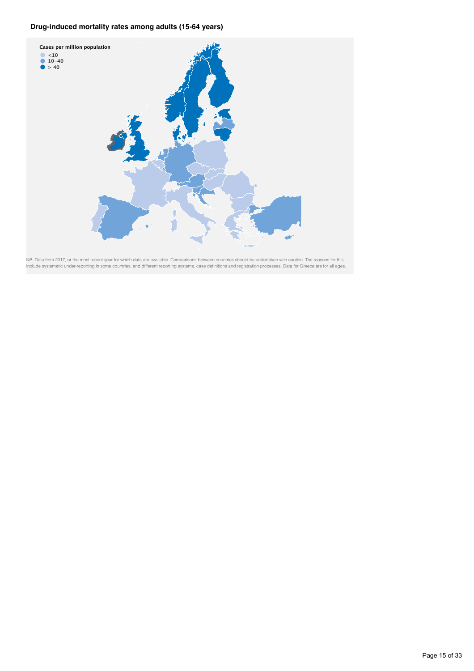### **Drug-induced mortality rates among adults (15-64 years)**



NB: Data from 2017, or the most recent year for which data are available. Comparisons between countries should be undertaken with caution. The reasons for this include systematic under-reporting in some countries, and different reporting systems, case definitions and registration processes. Data for Greece are for all ages.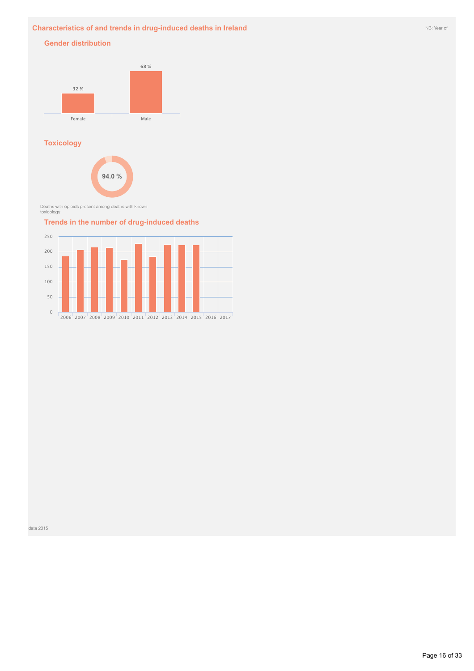### **Characteristics of and trends in drug-induced deaths in Ireland** NB: Year of NB: Year of NB: Year of

### **Gender distribution**



### **Toxicology**



Deaths with opioids present among deaths with known toxicology

### **Trends in the number of drug-induced deaths**

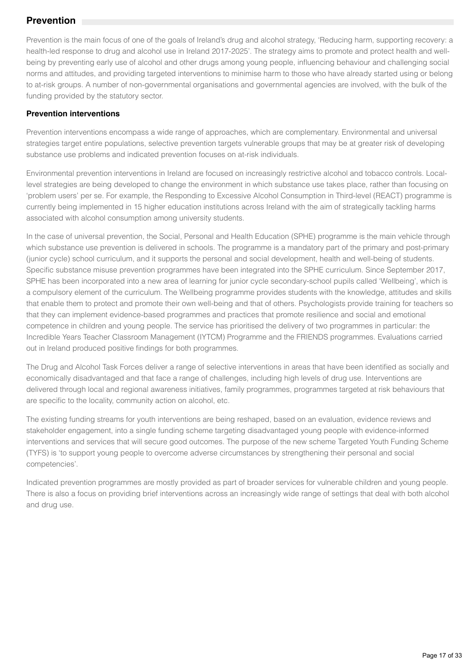## **Prevention**

Prevention is the main focus of one of the goals of Ireland's drug and alcohol strategy, 'Reducing harm, supporting recovery: a health-led response to drug and alcohol use in Ireland 2017-2025'. The strategy aims to promote and protect health and wellbeing by preventing early use of alcohol and other drugs among young people, influencing behaviour and challenging social norms and attitudes, and providing targeted interventions to minimise harm to those who have already started using or belong to at-risk groups. A number of non-governmental organisations and governmental agencies are involved, with the bulk of the funding provided by the statutory sector.

## **Prevention interventions**

Prevention interventions encompass a wide range of approaches, which are complementary. Environmental and universal strategies target entire populations, selective prevention targets vulnerable groups that may be at greater risk of developing substance use problems and indicated prevention focuses on at-risk individuals.

Environmental prevention interventions in Ireland are focused on increasingly restrictive alcohol and tobacco controls. Locallevel strategies are being developed to change the environment in which substance use takes place, rather than focusing on 'problem users' per se. For example, the Responding to Excessive Alcohol Consumption in Third-level (REACT) programme is currently being implemented in 15 higher education institutions across Ireland with the aim of strategically tackling harms associated with alcohol consumption among university students.

In the case of universal prevention, the Social, Personal and Health Education (SPHE) programme is the main vehicle through which substance use prevention is delivered in schools. The programme is a mandatory part of the primary and post-primary (junior cycle) school curriculum, and it supports the personal and social development, health and well-being of students. Specific substance misuse prevention programmes have been integrated into the SPHE curriculum. Since September 2017, SPHE has been incorporated into a new area of learning for junior cycle secondary-school pupils called 'Wellbeing', which is a compulsory element of the curriculum. The Wellbeing programme provides students with the knowledge, attitudes and skills that enable them to protect and promote their own well-being and that of others. Psychologists provide training for teachers so that they can implement evidence-based programmes and practices that promote resilience and social and emotional competence in children and young people. The service has prioritised the delivery of two programmes in particular: the Incredible Years Teacher Classroom Management (IYTCM) Programme and the FRIENDS programmes. Evaluations carried out in Ireland produced positive findings for both programmes.

The Drug and Alcohol Task Forces deliver a range of selective interventions in areas that have been identified as socially and economically disadvantaged and that face a range of challenges, including high levels of drug use. Interventions are delivered through local and regional awareness initiatives, family programmes, programmes targeted at risk behaviours that are specific to the locality, community action on alcohol, etc.

The existing funding streams for youth interventions are being reshaped, based on an evaluation, evidence reviews and stakeholder engagement, into a single funding scheme targeting disadvantaged young people with evidence-informed interventions and services that will secure good outcomes. The purpose of the new scheme Targeted Youth Funding Scheme (TYFS) is 'to support young people to overcome adverse circumstances by strengthening their personal and social competencies'.

Indicated prevention programmes are mostly provided as part of broader services for vulnerable children and young people. There is also a focus on providing brief interventions across an increasingly wide range of settings that deal with both alcohol and drug use.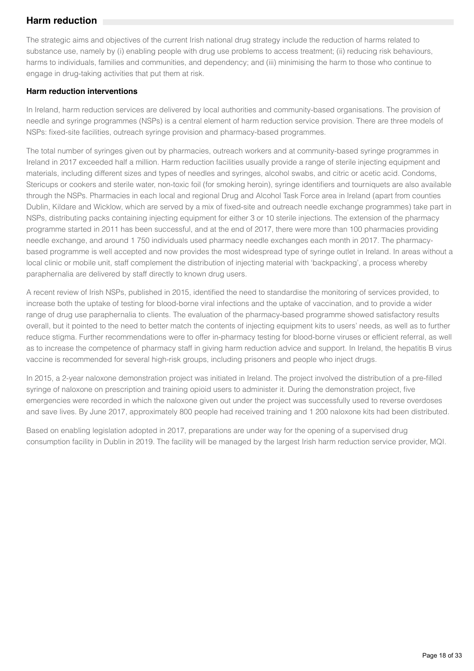## **Harm reduction**

The strategic aims and objectives of the current Irish national drug strategy include the reduction of harms related to substance use, namely by (i) enabling people with drug use problems to access treatment; (ii) reducing risk behaviours, harms to individuals, families and communities, and dependency; and (iii) minimising the harm to those who continue to engage in drug-taking activities that put them at risk.

### **Harm reduction interventions**

In Ireland, harm reduction services are delivered by local authorities and community-based organisations. The provision of needle and syringe programmes (NSPs) is a central element of harm reduction service provision. There are three models of NSPs: fixed-site facilities, outreach syringe provision and pharmacy-based programmes.

The total number of syringes given out by pharmacies, outreach workers and at community-based syringe programmes in Ireland in 2017 exceeded half a million. Harm reduction facilities usually provide a range of sterile injecting equipment and materials, including different sizes and types of needles and syringes, alcohol swabs, and citric or acetic acid. Condoms, Stericups or cookers and sterile water, non-toxic foil (for smoking heroin), syringe identifiers and tourniquets are also available through the NSPs. Pharmacies in each local and regional Drug and Alcohol Task Force area in Ireland (apart from counties Dublin, Kildare and Wicklow, which are served by a mix of fixed-site and outreach needle exchange programmes) take part in NSPs, distributing packs containing injecting equipment for either 3 or 10 sterile injections. The extension of the pharmacy programme started in 2011 has been successful, and at the end of 2017, there were more than 100 pharmacies providing needle exchange, and around 1 750 individuals used pharmacy needle exchanges each month in 2017. The pharmacybased programme is well accepted and now provides the most widespread type of syringe outlet in Ireland. In areas without a local clinic or mobile unit, staff complement the distribution of injecting material with 'backpacking', a process whereby paraphernalia are delivered by staff directly to known drug users.

A recent review of Irish NSPs, published in 2015, identified the need to standardise the monitoring of services provided, to increase both the uptake of testing for blood-borne viral infections and the uptake of vaccination, and to provide a wider range of drug use paraphernalia to clients. The evaluation of the pharmacy-based programme showed satisfactory results overall, but it pointed to the need to better match the contents of injecting equipment kits to users' needs, as well as to further reduce stigma. Further recommendations were to offer in-pharmacy testing for blood-borne viruses or efficient referral, as well as to increase the competence of pharmacy staff in giving harm reduction advice and support. In Ireland, the hepatitis B virus vaccine is recommended for several high-risk groups, including prisoners and people who inject drugs.

In 2015, a 2-year naloxone demonstration project was initiated in Ireland. The project involved the distribution of a pre-filled syringe of naloxone on prescription and training opioid users to administer it. During the demonstration project, five emergencies were recorded in which the naloxone given out under the project was successfully used to reverse overdoses and save lives. By June 2017, approximately 800 people had received training and 1 200 naloxone kits had been distributed.

Based on enabling legislation adopted in 2017, preparations are under way for the opening of a supervised drug consumption facility in Dublin in 2019. The facility will be managed by the largest Irish harm reduction service provider, MQI.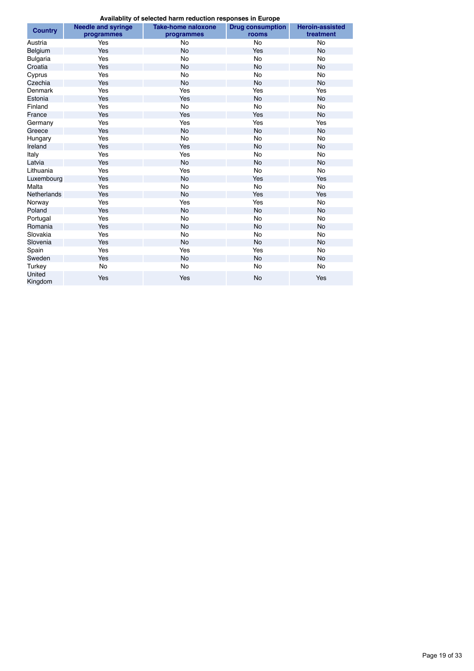**Availablity of selected harm reduction responses in Europe**

| Availability of sciedled flatin reduction responses in Europe |                           |                           |                         |                        |  |  |  |  |  |
|---------------------------------------------------------------|---------------------------|---------------------------|-------------------------|------------------------|--|--|--|--|--|
| <b>Country</b>                                                | <b>Needle and syringe</b> | <b>Take-home naloxone</b> | <b>Drug consumption</b> | <b>Heroin-assisted</b> |  |  |  |  |  |
|                                                               | programmes                | programmes                | rooms                   | treatment              |  |  |  |  |  |
| Austria                                                       | Yes                       | No                        | No                      | No                     |  |  |  |  |  |
| Belgium                                                       | Yes                       | <b>No</b>                 | <b>Yes</b>              | No                     |  |  |  |  |  |
| <b>Bulgaria</b>                                               | Yes                       | <b>No</b>                 | <b>No</b>               | No                     |  |  |  |  |  |
| Croatia                                                       | Yes                       | <b>No</b>                 | <b>No</b>               | <b>No</b>              |  |  |  |  |  |
| Cyprus                                                        | Yes                       | <b>No</b>                 | No                      | No                     |  |  |  |  |  |
| Czechia                                                       | Yes                       | No                        | No                      | No                     |  |  |  |  |  |
| <b>Denmark</b>                                                | Yes                       | Yes                       | Yes                     | Yes                    |  |  |  |  |  |
| Estonia                                                       | Yes                       | Yes                       | <b>No</b>               | <b>No</b>              |  |  |  |  |  |
| Finland                                                       | Yes                       | <b>No</b>                 | No                      | <b>No</b>              |  |  |  |  |  |
| France                                                        | Yes                       | Yes                       | Yes                     | <b>No</b>              |  |  |  |  |  |
| Germany                                                       | Yes                       | Yes                       | Yes                     | Yes                    |  |  |  |  |  |
| Greece                                                        | Yes                       | <b>No</b>                 | <b>No</b>               | <b>No</b>              |  |  |  |  |  |
| Hungary                                                       | Yes                       | <b>No</b>                 | N <sub>o</sub>          | <b>No</b>              |  |  |  |  |  |
| Ireland                                                       | Yes                       | Yes                       | No                      | <b>No</b>              |  |  |  |  |  |
| Italy                                                         | Yes                       | Yes                       | No                      | No                     |  |  |  |  |  |
| Latvia                                                        | Yes                       | <b>No</b>                 | No                      | <b>No</b>              |  |  |  |  |  |
| Lithuania                                                     | Yes                       | Yes                       | No.                     | No                     |  |  |  |  |  |
| Luxembourg                                                    | Yes                       | <b>No</b>                 | Yes                     | Yes                    |  |  |  |  |  |
| Malta                                                         | Yes                       | <b>No</b>                 | No                      | <b>No</b>              |  |  |  |  |  |
| <b>Netherlands</b>                                            | Yes                       | <b>No</b>                 | <b>Yes</b>              | Yes                    |  |  |  |  |  |
| Norway                                                        | Yes                       | Yes                       | Yes                     | No                     |  |  |  |  |  |
| Poland                                                        | Yes                       | <b>No</b>                 | <b>No</b>               | <b>No</b>              |  |  |  |  |  |
| Portugal                                                      | Yes                       | <b>No</b>                 | No                      | No                     |  |  |  |  |  |
| Romania                                                       | Yes                       | <b>No</b>                 | <b>No</b>               | <b>No</b>              |  |  |  |  |  |
| Slovakia                                                      | Yes                       | <b>No</b>                 | No.                     | No                     |  |  |  |  |  |
| Slovenia                                                      | Yes                       | <b>No</b>                 | <b>No</b>               | <b>No</b>              |  |  |  |  |  |
| Spain                                                         | Yes                       | Yes                       | Yes                     | No                     |  |  |  |  |  |
| Sweden                                                        | Yes                       | No                        | No                      | No                     |  |  |  |  |  |
| Turkey                                                        | No                        | <b>No</b>                 | No                      | No                     |  |  |  |  |  |
| United<br>Kingdom                                             | Yes                       | Yes                       | <b>No</b>               | Yes                    |  |  |  |  |  |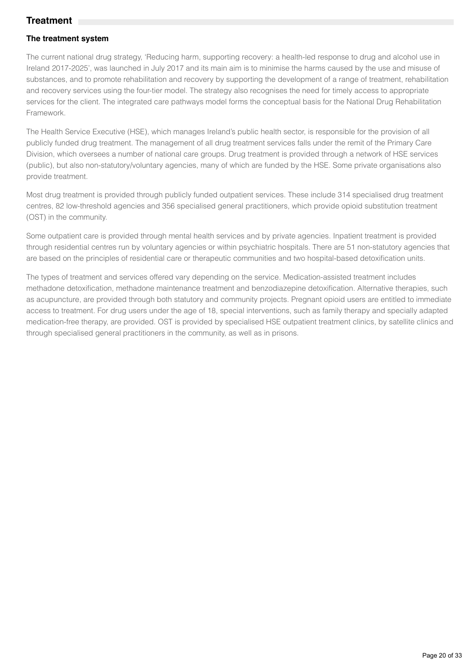## **Treatment**

## **The treatment system**

The current national drug strategy, 'Reducing harm, supporting recovery: a health-led response to drug and alcohol use in Ireland 2017-2025', was launched in July 2017 and its main aim is to minimise the harms caused by the use and misuse of substances, and to promote rehabilitation and recovery by supporting the development of a range of treatment, rehabilitation and recovery services using the four-tier model. The strategy also recognises the need for timely access to appropriate services for the client. The integrated care pathways model forms the conceptual basis for the National Drug Rehabilitation Framework.

The Health Service Executive (HSE), which manages Ireland's public health sector, is responsible for the provision of all publicly funded drug treatment. The management of all drug treatment services falls under the remit of the Primary Care Division, which oversees a number of national care groups. Drug treatment is provided through a network of HSE services (public), but also non-statutory/voluntary agencies, many of which are funded by the HSE. Some private organisations also provide treatment.

Most drug treatment is provided through publicly funded outpatient services. These include 314 specialised drug treatment centres, 82 low-threshold agencies and 356 specialised general practitioners, which provide opioid substitution treatment (OST) in the community.

Some outpatient care is provided through mental health services and by private agencies. Inpatient treatment is provided through residential centres run by voluntary agencies or within psychiatric hospitals. There are 51 non-statutory agencies that are based on the principles of residential care or therapeutic communities and two hospital-based detoxification units.

The types of treatment and services offered vary depending on the service. Medication-assisted treatment includes methadone detoxification, methadone maintenance treatment and benzodiazepine detoxification. Alternative therapies, such as acupuncture, are provided through both statutory and community projects. Pregnant opioid users are entitled to immediate access to treatment. For drug users under the age of 18, special interventions, such as family therapy and specially adapted medication-free therapy, are provided. OST is provided by specialised HSE outpatient treatment clinics, by satellite clinics and through specialised general practitioners in the community, as well as in prisons.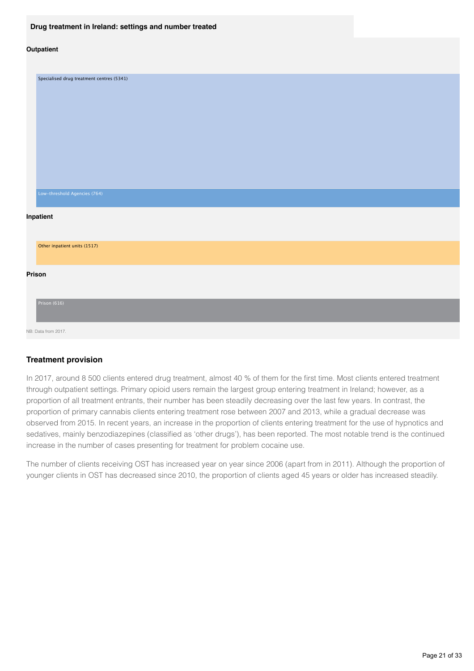#### **Drug treatment in Ireland: settings and number treated**

#### **Outpatient**

| Specialised drug treatment centres (5341) |
|-------------------------------------------|
|                                           |
|                                           |
|                                           |
|                                           |
|                                           |
|                                           |
|                                           |
| Low-threshold Agencies (764)              |
| Inpatient                                 |
| Other inpatient units (1517)              |
| Prison                                    |
| Prison (616)                              |
| NB: Data from 2017.                       |

#### **Treatment provision**

In 2017, around 8 500 clients entered drug treatment, almost 40 % of them for the first time. Most clients entered treatment through outpatient settings. Primary opioid users remain the largest group entering treatment in Ireland; however, as a proportion of all treatment entrants, their number has been steadily decreasing over the last few years. In contrast, the proportion of primary cannabis clients entering treatment rose between 2007 and 2013, while a gradual decrease was observed from 2015. In recent years, an increase in the proportion of clients entering treatment for the use of hypnotics and sedatives, mainly benzodiazepines (classified as 'other drugs'), has been reported. The most notable trend is the continued increase in the number of cases presenting for treatment for problem cocaine use.

The number of clients receiving OST has increased year on year since 2006 (apart from in 2011). Although the proportion of younger clients in OST has decreased since 2010, the proportion of clients aged 45 years or older has increased steadily.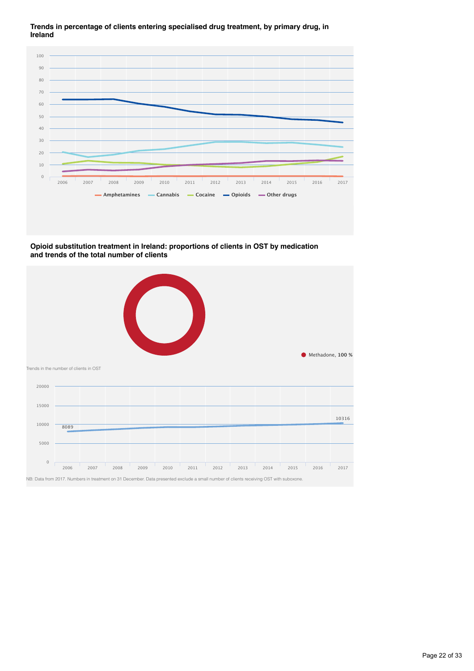**Trends in percentage of clients entering specialised drug treatment, by primary drug, in Ireland**



**Opioid substitution treatment in Ireland: proportions of clients in OST by medication and trends of the total number of clients**

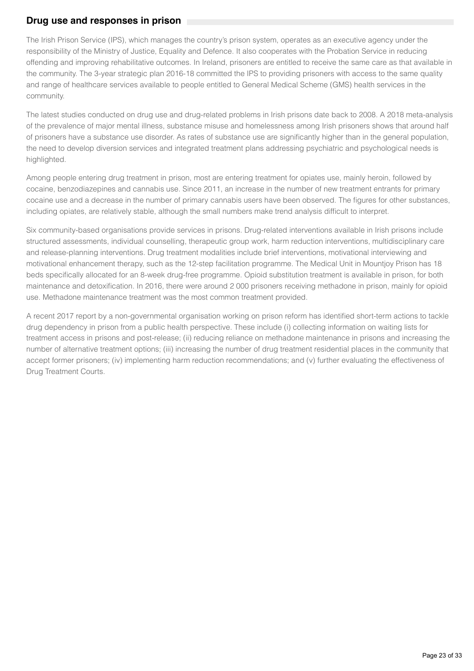## **Drug use and responses in prison**

The Irish Prison Service (IPS), which manages the country's prison system, operates as an executive agency under the responsibility of the Ministry of Justice, Equality and Defence. It also cooperates with the Probation Service in reducing offending and improving rehabilitative outcomes. In Ireland, prisoners are entitled to receive the same care as that available in the community. The 3-year strategic plan 2016-18 committed the IPS to providing prisoners with access to the same quality and range of healthcare services available to people entitled to General Medical Scheme (GMS) health services in the community.

The latest studies conducted on drug use and drug-related problems in Irish prisons date back to 2008. A 2018 meta-analysis of the prevalence of major mental illness, substance misuse and homelessness among Irish prisoners shows that around half of prisoners have a substance use disorder. As rates of substance use are significantly higher than in the general population, the need to develop diversion services and integrated treatment plans addressing psychiatric and psychological needs is highlighted.

Among people entering drug treatment in prison, most are entering treatment for opiates use, mainly heroin, followed by cocaine, benzodiazepines and cannabis use. Since 2011, an increase in the number of new treatment entrants for primary cocaine use and a decrease in the number of primary cannabis users have been observed. The figures for other substances, including opiates, are relatively stable, although the small numbers make trend analysis difficult to interpret.

Six community-based organisations provide services in prisons. Drug-related interventions available in Irish prisons include structured assessments, individual counselling, therapeutic group work, harm reduction interventions, multidisciplinary care and release-planning interventions. Drug treatment modalities include brief interventions, motivational interviewing and motivational enhancement therapy, such as the 12-step facilitation programme. The Medical Unit in Mountjoy Prison has 18 beds specifically allocated for an 8-week drug-free programme. Opioid substitution treatment is available in prison, for both maintenance and detoxification. In 2016, there were around 2 000 prisoners receiving methadone in prison, mainly for opioid use. Methadone maintenance treatment was the most common treatment provided.

A recent 2017 report by a non-governmental organisation working on prison reform has identified short-term actions to tackle drug dependency in prison from a public health perspective. These include (i) collecting information on waiting lists for treatment access in prisons and post-release; (ii) reducing reliance on methadone maintenance in prisons and increasing the number of alternative treatment options; (iii) increasing the number of drug treatment residential places in the community that accept former prisoners; (iv) implementing harm reduction recommendations; and (v) further evaluating the effectiveness of Drug Treatment Courts.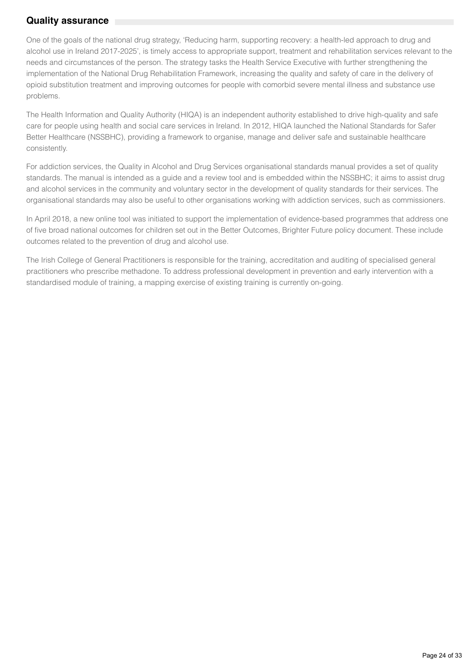## **Quality assurance**

One of the goals of the national drug strategy, 'Reducing harm, supporting recovery: a health-led approach to drug and alcohol use in Ireland 2017-2025', is timely access to appropriate support, treatment and rehabilitation services relevant to the needs and circumstances of the person. The strategy tasks the Health Service Executive with further strengthening the implementation of the National Drug Rehabilitation Framework, increasing the quality and safety of care in the delivery of opioid substitution treatment and improving outcomes for people with comorbid severe mental illness and substance use problems.

The Health Information and Quality Authority (HIQA) is an independent authority established to drive high-quality and safe care for people using health and social care services in Ireland. In 2012, HIQA launched the National Standards for Safer Better Healthcare (NSSBHC), providing a framework to organise, manage and deliver safe and sustainable healthcare consistently.

For addiction services, the Quality in Alcohol and Drug Services organisational standards manual provides a set of quality standards. The manual is intended as a guide and a review tool and is embedded within the NSSBHC; it aims to assist drug and alcohol services in the community and voluntary sector in the development of quality standards for their services. The organisational standards may also be useful to other organisations working with addiction services, such as commissioners.

In April 2018, a new online tool was initiated to support the implementation of evidence-based programmes that address one of five broad national outcomes for children set out in the Better Outcomes, Brighter Future policy document. These include outcomes related to the prevention of drug and alcohol use.

The Irish College of General Practitioners is responsible for the training, accreditation and auditing of specialised general practitioners who prescribe methadone. To address professional development in prevention and early intervention with a standardised module of training, a mapping exercise of existing training is currently on-going.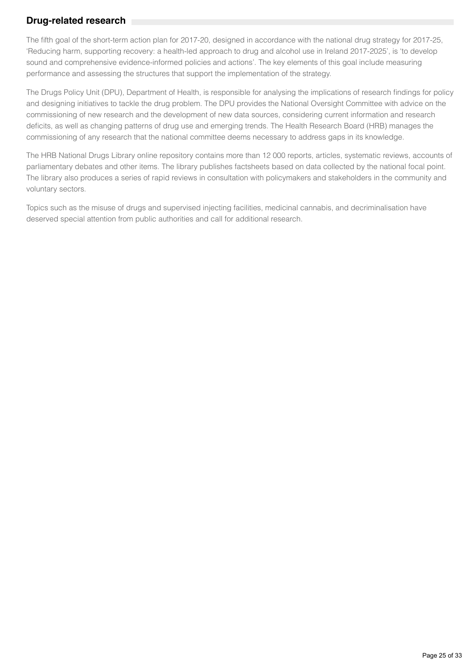## **Drug-related research**

The fifth goal of the short-term action plan for 2017-20, designed in accordance with the national drug strategy for 2017-25, 'Reducing harm, supporting recovery: a health-led approach to drug and alcohol use in Ireland 2017-2025', is 'to develop sound and comprehensive evidence-informed policies and actions'. The key elements of this goal include measuring performance and assessing the structures that support the implementation of the strategy.

The Drugs Policy Unit (DPU), Department of Health, is responsible for analysing the implications of research findings for policy and designing initiatives to tackle the drug problem. The DPU provides the National Oversight Committee with advice on the commissioning of new research and the development of new data sources, considering current information and research deficits, as well as changing patterns of drug use and emerging trends. The Health Research Board (HRB) manages the commissioning of any research that the national committee deems necessary to address gaps in its knowledge.

The HRB National Drugs Library online repository contains more than 12 000 reports, articles, systematic reviews, accounts of parliamentary debates and other items. The library publishes factsheets based on data collected by the national focal point. The library also produces a series of rapid reviews in consultation with policymakers and stakeholders in the community and voluntary sectors.

Topics such as the misuse of drugs and supervised injecting facilities, medicinal cannabis, and decriminalisation have deserved special attention from public authorities and call for additional research.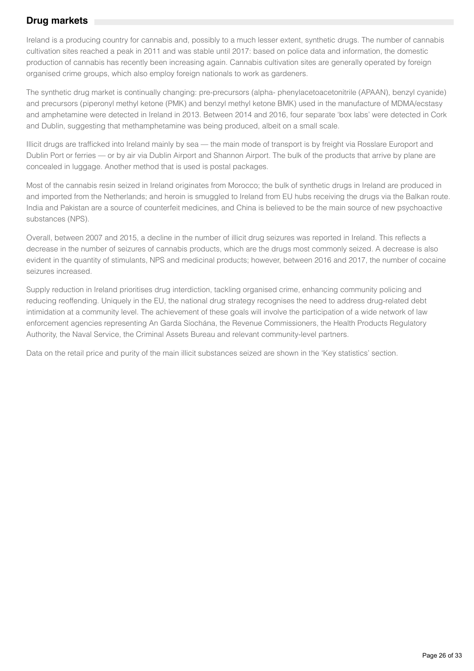## **Drug markets**

Ireland is a producing country for cannabis and, possibly to a much lesser extent, synthetic drugs. The number of cannabis cultivation sites reached a peak in 2011 and was stable until 2017: based on police data and information, the domestic production of cannabis has recently been increasing again. Cannabis cultivation sites are generally operated by foreign organised crime groups, which also employ foreign nationals to work as gardeners.

The synthetic drug market is continually changing: pre-precursors (alpha- phenylacetoacetonitrile (APAAN), benzyl cyanide) and precursors (piperonyl methyl ketone (PMK) and benzyl methyl ketone BMK) used in the manufacture of MDMA/ecstasy and amphetamine were detected in Ireland in 2013. Between 2014 and 2016, four separate 'box labs' were detected in Cork and Dublin, suggesting that methamphetamine was being produced, albeit on a small scale.

Illicit drugs are trafficked into Ireland mainly by sea — the main mode of transport is by freight via Rosslare Europort and Dublin Port or ferries — or by air via Dublin Airport and Shannon Airport. The bulk of the products that arrive by plane are concealed in luggage. Another method that is used is postal packages.

Most of the cannabis resin seized in Ireland originates from Morocco; the bulk of synthetic drugs in Ireland are produced in and imported from the Netherlands; and heroin is smuggled to Ireland from EU hubs receiving the drugs via the Balkan route. India and Pakistan are a source of counterfeit medicines, and China is believed to be the main source of new psychoactive substances (NPS).

Overall, between 2007 and 2015, a decline in the number of illicit drug seizures was reported in Ireland. This reflects a decrease in the number of seizures of cannabis products, which are the drugs most commonly seized. A decrease is also evident in the quantity of stimulants, NPS and medicinal products; however, between 2016 and 2017, the number of cocaine seizures increased.

Supply reduction in Ireland prioritises drug interdiction, tackling organised crime, enhancing community policing and reducing reoffending. Uniquely in the EU, the national drug strategy recognises the need to address drug-related debt intimidation at a community level. The achievement of these goals will involve the participation of a wide network of law enforcement agencies representing An Garda Síochána, the Revenue Commissioners, the Health Products Regulatory Authority, the Naval Service, the Criminal Assets Bureau and relevant community-level partners.

Data on the retail price and purity of the main illicit substances seized are shown in the 'Key statistics' section.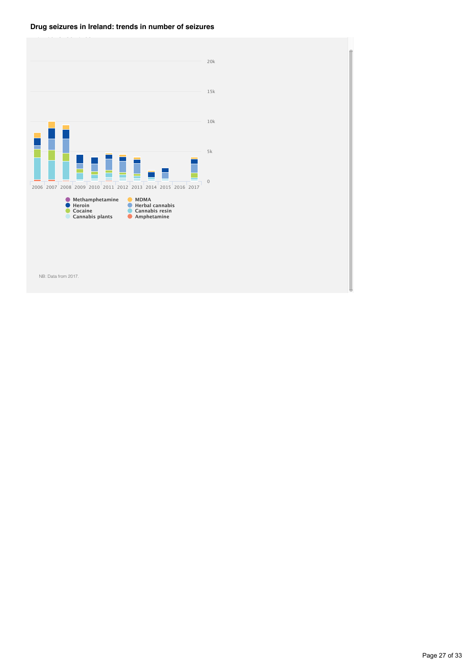### **Drug seizures in Ireland: trends in number of seizures**



NB: Data from 2017.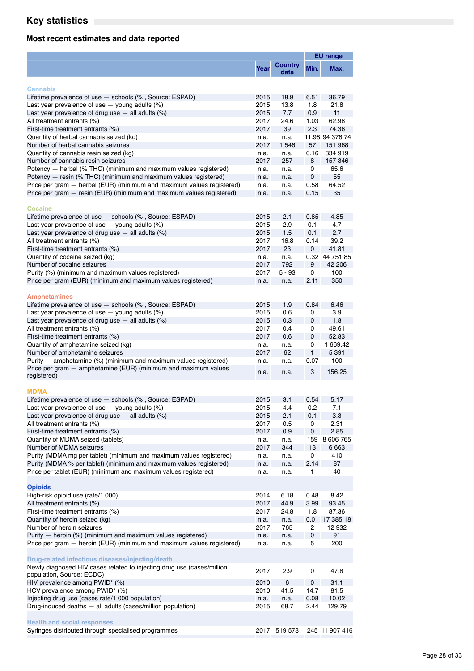## **Key statistics**

## **Most recent estimates and data reported**

|                                                                                                                                     |              |                        |           | <b>EU</b> range          |
|-------------------------------------------------------------------------------------------------------------------------------------|--------------|------------------------|-----------|--------------------------|
|                                                                                                                                     | Year         | <b>Country</b><br>data | Min.      | Max.                     |
| <b>Cannabis</b>                                                                                                                     |              |                        |           |                          |
| Lifetime prevalence of use - schools (%, Source: ESPAD)                                                                             | 2015         | 18.9                   | 6.51      | 36.79                    |
| Last year prevalence of use $-$ young adults $(\%)$                                                                                 | 2015         | 13.8                   | 1.8       | 21.8                     |
| Last year prevalence of drug use $-$ all adults $(\%)$                                                                              | 2015         | 7.7                    | 0.9       | 11                       |
| All treatment entrants (%)                                                                                                          | 2017         | 24.6                   | 1.03      | 62.98                    |
| First-time treatment entrants (%)                                                                                                   | 2017         | 39                     | 2.3       | 74.36                    |
| Quantity of herbal cannabis seized (kg)                                                                                             | n.a.         | n.a.                   |           | 11.98 94 378.74          |
| Number of herbal cannabis seizures                                                                                                  | 2017         | 1 546                  | 57        | 151 968                  |
| Quantity of cannabis resin seized (kg)                                                                                              | n.a.         | n.a.                   | 0.16      | 334 919                  |
| Number of cannabis resin seizures                                                                                                   | 2017         | 257                    | 8         | 157 346                  |
| Potency — herbal (% THC) (minimum and maximum values registered)<br>Potency - resin (% THC) (minimum and maximum values registered) | n.a.         | n.a.                   | 0<br>0    | 65.6<br>55               |
| Price per gram - herbal (EUR) (minimum and maximum values registered)                                                               | n.a.<br>n.a. | n.a.<br>n.a.           | 0.58      | 64.52                    |
| Price per gram – resin (EUR) (minimum and maximum values registered)                                                                | n.a.         | n.a.                   | 0.15      | 35                       |
|                                                                                                                                     |              |                        |           |                          |
| <b>Cocaine</b>                                                                                                                      |              |                        |           |                          |
| Lifetime prevalence of use - schools (%, Source: ESPAD)                                                                             | 2015         | 2.1                    | 0.85      | 4.85                     |
| Last year prevalence of use $-$ young adults $(\%)$                                                                                 | 2015         | 2.9                    | 0.1       | 4.7                      |
| Last year prevalence of drug use $-$ all adults $(\%)$                                                                              | 2015         | 1.5                    | 0.1       | 2.7                      |
| All treatment entrants (%)                                                                                                          | 2017         | 16.8                   | 0.14      | 39.2                     |
| First-time treatment entrants (%)                                                                                                   | 2017         | 23                     | 0         | 41.81                    |
| Quantity of cocaine seized (kg)<br>Number of cocaine seizures                                                                       | n.a.<br>2017 | n.a.<br>792            | 9         | 0.32 44 751 85<br>42 206 |
| Purity (%) (minimum and maximum values registered)                                                                                  | 2017         | $5 - 93$               | 0         | 100                      |
| Price per gram (EUR) (minimum and maximum values registered)                                                                        | n.a.         | n.a.                   | 2.11      | 350                      |
|                                                                                                                                     |              |                        |           |                          |
| <b>Amphetamines</b>                                                                                                                 |              |                        |           |                          |
| Lifetime prevalence of use - schools (%, Source: ESPAD)                                                                             | 2015         | 1.9                    | 0.84      | 6.46                     |
| Last year prevalence of use $-$ young adults $(\%)$                                                                                 | 2015         | 0.6                    | 0         | 3.9                      |
| Last year prevalence of drug use $-$ all adults $(\%)$                                                                              | 2015         | 0.3                    | 0         | 1.8                      |
| All treatment entrants (%)                                                                                                          | 2017<br>2017 | 0.4                    | 0<br>0    | 49.61<br>52.83           |
| First-time treatment entrants (%)<br>Quantity of amphetamine seized (kg)                                                            | n.a.         | 0.6                    | 0         | 1 669.42                 |
| Number of amphetamine seizures                                                                                                      | 2017         | n.a.<br>62             | 1         | 5 3 9 1                  |
| Purity - amphetamine (%) (minimum and maximum values registered)                                                                    | n.a.         | n.a.                   | 0.07      | 100                      |
| Price per gram - amphetamine (EUR) (minimum and maximum values<br>registered)                                                       | n.a.         | n.a.                   | 3         | 156.25                   |
| <b>MDMA</b>                                                                                                                         |              |                        |           |                          |
| Lifetime prevalence of use - schools (%, Source: ESPAD)                                                                             | 2015         | 3.1                    | 0.54      | 5.17                     |
| Last year prevalence of use $-$ young adults $(\%)$                                                                                 | 2015         | 4.4                    | 0.2       | 7.1                      |
| Last year prevalence of drug use $-$ all adults $(\%)$                                                                              | 2015         | 2.1                    | 0.1       | 3.3                      |
| All treatment entrants (%)                                                                                                          | 2017         | 0.5                    | 0         | 2.31                     |
| First-time treatment entrants (%)                                                                                                   | 2017         | 0.9                    | $\pmb{0}$ | 2.85                     |
| Quantity of MDMA seized (tablets)                                                                                                   | n.a.         | n.a.                   | 159       | 8 606 765                |
| Number of MDMA seizures                                                                                                             | 2017         | 344                    | 13        | 6 663                    |
| Purity (MDMA mg per tablet) (minimum and maximum values registered)                                                                 | n.a.         | n.a.                   | 0         | 410                      |
| Purity (MDMA % per tablet) (minimum and maximum values registered)                                                                  | n.a.         | n.a.                   | 2.14      | 87                       |
| Price per tablet (EUR) (minimum and maximum values registered)                                                                      | n.a.         | n.a.                   | 1         | 40                       |
| <b>Opioids</b>                                                                                                                      |              |                        |           |                          |
| High-risk opioid use (rate/1 000)                                                                                                   | 2014         | 6.18                   | 0.48      | 8.42                     |
| All treatment entrants (%)                                                                                                          | 2017         | 44.9                   | 3.99      | 93.45                    |
| First-time treatment entrants (%)                                                                                                   | 2017         | 24.8                   | 1.8       | 87.36                    |
| Quantity of heroin seized (kg)                                                                                                      | n.a.         | n.a.                   | 0.01      | 17 385.18                |
| Number of heroin seizures                                                                                                           | 2017         | 765                    | 2         | 12932                    |
| Purity - heroin (%) (minimum and maximum values registered)                                                                         | n.a.         | n.a.                   | 0         | 91                       |
| Price per gram – heroin (EUR) (minimum and maximum values registered)                                                               | n.a.         | n.a.                   | 5         | 200                      |
| Drug-related infectious diseases/injecting/death                                                                                    |              |                        |           |                          |
| Newly diagnosed HIV cases related to injecting drug use (cases/million<br>population, Source: ECDC)                                 | 2017         | 2.9                    | 0         | 47.8                     |
| HIV prevalence among PWID* (%)                                                                                                      | 2010         | 6                      | 0         | 31.1                     |
| HCV prevalence among PWID* (%)                                                                                                      | 2010         | 41.5                   | 14.7      | 81.5                     |
| Injecting drug use (cases rate/1 000 population)                                                                                    | n.a.         | n.a.                   | 0.08      | 10.02                    |
| Drug-induced deaths - all adults (cases/million population)                                                                         | 2015         | 68.7                   | 2.44      | 129.79                   |
| <b>Health and social responses</b>                                                                                                  |              |                        |           |                          |
| Syringes distributed through specialised programmes                                                                                 |              | 2017 519 578           |           | 245 11 907 416           |
|                                                                                                                                     |              |                        |           |                          |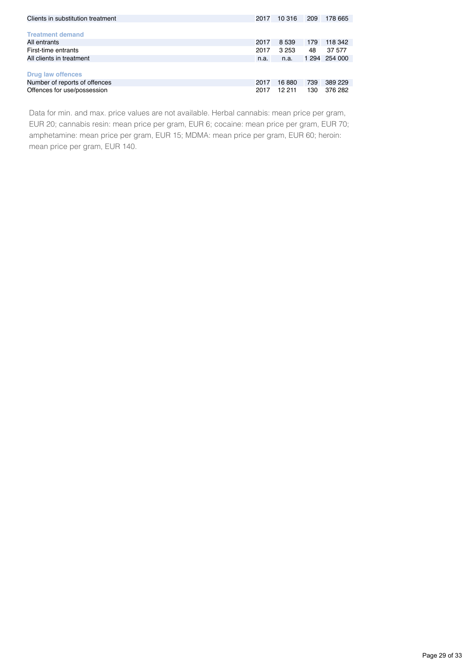| Clients in substitution treatment |      | 10 316  | 209 | 178 665       |
|-----------------------------------|------|---------|-----|---------------|
|                                   |      |         |     |               |
| <b>Treatment demand</b>           |      |         |     |               |
| All entrants                      | 2017 | 8 5 3 9 | 179 | 118 342       |
| First-time entrants               |      | 3 253   | 48  | 37 577        |
| All clients in treatment          |      | n.a.    |     | 1 294 254 000 |
|                                   |      |         |     |               |
| <b>Drug law offences</b>          |      |         |     |               |
| Number of reports of offences     |      | 16880   | 739 | 389 229       |
| Offences for use/possession       |      | 12 211  | 130 | 376 282       |

Data for min. and max. price values are not available. Herbal cannabis: mean price per gram, EUR 20; cannabis resin: mean price per gram, EUR 6; cocaine: mean price per gram, EUR 70; amphetamine: mean price per gram, EUR 15; MDMA: mean price per gram, EUR 60; heroin: mean price per gram, EUR 140.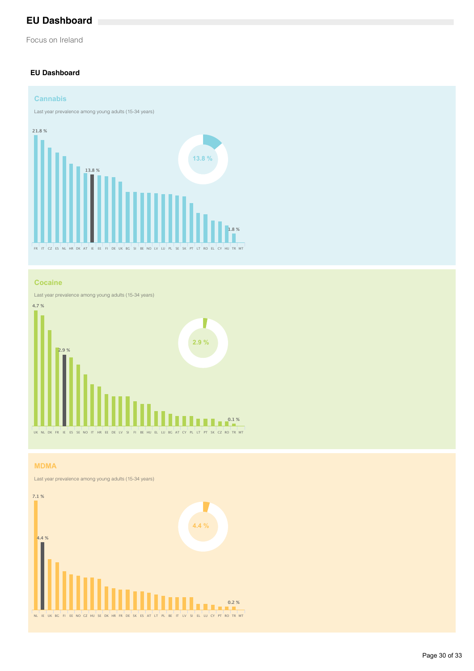## **EU Dashboard**

Focus on Ireland

### **EU Dashboard**



#### **Cocaine**

Last year prevalence among young adults (15-34 years)



### **MDMA**

Last year prevalence among young adults (15-34 years)

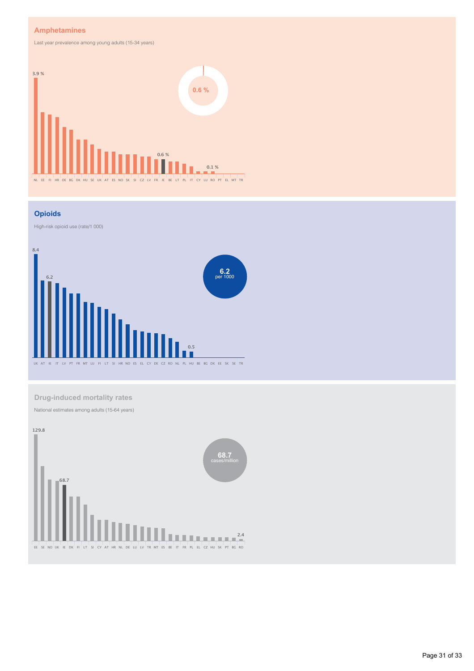### **Amphetamines**

Last year prevalence among young adults (15-34 years)



#### **Opioids**

High-risk opioid use (rate/1 000)



**Drug-induced mortality rates**

National estimates among adults (15-64 years)

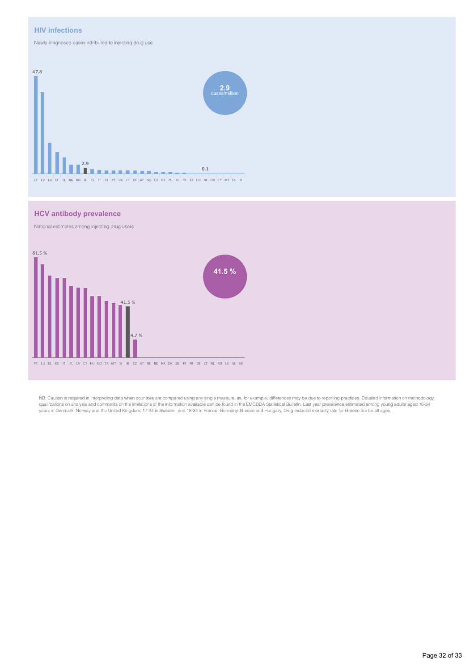#### **HIV infections**

Newly diagnosed cases attributed to injecting drug use



#### **HCV antibody prevalence**

National estimates among injecting drug users



NB: Caution is required in interpreting data when countries are compared using any single measure, as, for example, differences may be due to reporting practices. Detailed information on methodology, qualifcations on analysis and comments on the limitations of the information available can be found in the EMCDDA Statistical Bulletin. Last year prevalence estimated among young adults aged 16-34 years in Denmark, Norway and the United Kingdom; 17-34 in Sweden; and 18-34 in France, Germany, Greece and Hungary. Drug-induced mortality rate for Greece are for all ages.